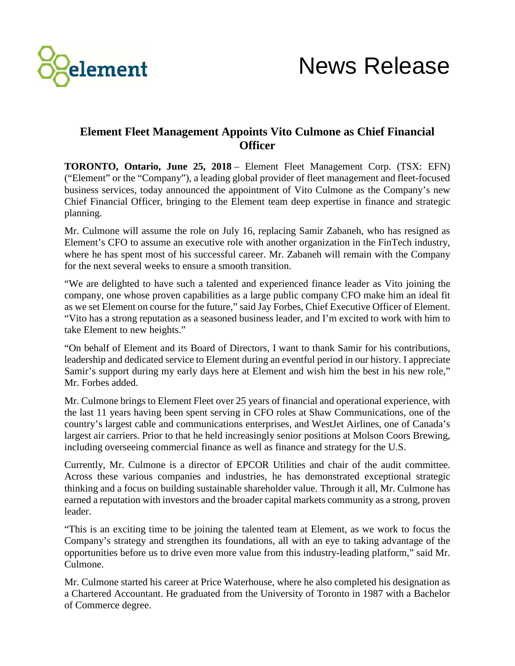

## **Element Fleet Management Appoints Vito Culmone as Chief Financial Officer**

**TORONTO, Ontario, June 25, 2018** – Element Fleet Management Corp. (TSX: EFN) ("Element" or the "Company"), a leading global provider of fleet management and fleet-focused business services, today announced the appointment of Vito Culmone as the Company's new Chief Financial Officer, bringing to the Element team deep expertise in finance and strategic planning.

Mr. Culmone will assume the role on July 16, replacing Samir Zabaneh, who has resigned as Element's CFO to assume an executive role with another organization in the FinTech industry, where he has spent most of his successful career. Mr. Zabaneh will remain with the Company for the next several weeks to ensure a smooth transition.

"We are delighted to have such a talented and experienced finance leader as Vito joining the company, one whose proven capabilities as a large public company CFO make him an ideal fit as we set Element on course for the future," said Jay Forbes, Chief Executive Officer of Element. "Vito has a strong reputation as a seasoned business leader, and I'm excited to work with him to take Element to new heights."

"On behalf of Element and its Board of Directors, I want to thank Samir for his contributions, leadership and dedicated service to Element during an eventful period in our history. I appreciate Samir's support during my early days here at Element and wish him the best in his new role," Mr. Forbes added.

Mr. Culmone brings to Element Fleet over 25 years of financial and operational experience, with the last 11 years having been spent serving in CFO roles at Shaw Communications, one of the country's largest cable and communications enterprises, and WestJet Airlines, one of Canada's largest air carriers. Prior to that he held increasingly senior positions at Molson Coors Brewing, including overseeing commercial finance as well as finance and strategy for the U.S.

Currently, Mr. Culmone is a director of EPCOR Utilities and chair of the audit committee. Across these various companies and industries, he has demonstrated exceptional strategic thinking and a focus on building sustainable shareholder value. Through it all, Mr. Culmone has earned a reputation with investors and the broader capital markets community as a strong, proven leader.

"This is an exciting time to be joining the talented team at Element, as we work to focus the Company's strategy and strengthen its foundations, all with an eye to taking advantage of the opportunities before us to drive even more value from this industry-leading platform," said Mr. Culmone.

Mr. Culmone started his career at Price Waterhouse, where he also completed his designation as a Chartered Accountant. He graduated from the University of Toronto in 1987 with a Bachelor of Commerce degree.